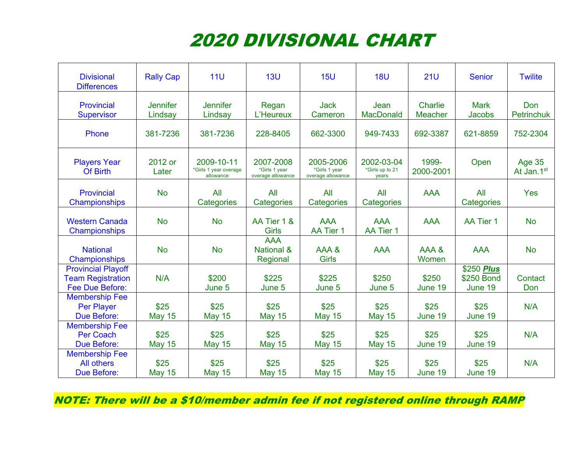## 2020 DIVISIONAL CHART

| <b>Divisional</b><br><b>Differences</b>                                  | <b>Rally Cap</b>           | 11 <sub>U</sub>                                  | 13U                                             | 15U                                             | <b>18U</b>                             | 21U                       | <b>Senior</b>                       | <b>Twilite</b>              |
|--------------------------------------------------------------------------|----------------------------|--------------------------------------------------|-------------------------------------------------|-------------------------------------------------|----------------------------------------|---------------------------|-------------------------------------|-----------------------------|
| Provincial<br><b>Supervisor</b>                                          | <b>Jennifer</b><br>Lindsay | <b>Jennifer</b><br>Lindsay                       | Regan<br>L'Heureux                              | <b>Jack</b><br>Cameron                          | Jean<br><b>MacDonald</b>               | Charlie<br><b>Meacher</b> | <b>Mark</b><br><b>Jacobs</b>        | Don<br><b>Petrinchuk</b>    |
| Phone                                                                    | 381-7236                   | 381-7236                                         | 228-8405                                        | 662-3300                                        | 949-7433                               | 692-3387                  | 621-8859                            | 752-2304                    |
| <b>Players Year</b><br>Of Birth                                          | 2012 or<br>Later           | 2009-10-11<br>*Girls 1 year overage<br>allowance | 2007-2008<br>*Girls 1 year<br>overage allowance | 2005-2006<br>*Girls 1 year<br>overage allowance | 2002-03-04<br>*Girls up to 21<br>years | 1999-<br>2000-2001        | Open                                | <b>Age 35</b><br>At Jan.1st |
| Provincial<br>Championships                                              | <b>No</b>                  | All<br>Categories                                | All<br>Categories                               | All<br>Categories                               | All<br>Categories                      | <b>AAA</b>                | All<br>Categories                   | <b>Yes</b>                  |
| <b>Western Canada</b><br>Championships                                   | <b>No</b>                  | <b>No</b>                                        | AA Tier 1 &<br><b>Girls</b>                     | <b>AAA</b><br>AA Tier 1                         | <b>AAA</b><br>AA Tier 1                | <b>AAA</b>                | AA Tier 1                           | <b>No</b>                   |
| <b>National</b><br>Championships                                         | <b>No</b>                  | <b>No</b>                                        | <b>AAA</b><br><b>National &amp;</b><br>Regional | AAA&<br><b>Girls</b>                            | <b>AAA</b>                             | <b>AAA &amp;</b><br>Women | <b>AAA</b>                          | <b>No</b>                   |
| <b>Provincial Playoff</b><br><b>Team Registration</b><br>Fee Due Before: | N/A                        | \$200<br>June 5                                  | \$225<br>June 5                                 | \$225<br>June 5                                 | \$250<br>June 5                        | \$250<br>June 19          | \$250 Plus<br>\$250 Bond<br>June 19 | Contact<br>Don              |
| <b>Membership Fee</b><br><b>Per Player</b><br><b>Due Before:</b>         | \$25<br><b>May 15</b>      | \$25<br><b>May 15</b>                            | \$25<br><b>May 15</b>                           | \$25<br><b>May 15</b>                           | \$25<br><b>May 15</b>                  | \$25<br>June 19           | \$25<br>June 19                     | N/A                         |
| <b>Membership Fee</b><br><b>Per Coach</b><br><b>Due Before:</b>          | \$25<br><b>May 15</b>      | \$25<br><b>May 15</b>                            | \$25<br><b>May 15</b>                           | \$25<br><b>May 15</b>                           | \$25<br><b>May 15</b>                  | \$25<br>June 19           | \$25<br>June 19                     | N/A                         |
| <b>Membership Fee</b><br>All others<br><b>Due Before:</b>                | \$25<br><b>May 15</b>      | \$25<br><b>May 15</b>                            | \$25<br><b>May 15</b>                           | \$25<br><b>May 15</b>                           | \$25<br><b>May 15</b>                  | \$25<br>June 19           | \$25<br>June 19                     | N/A                         |

NOTE: There will be a \$10/member admin fee if not registered online through RAMP